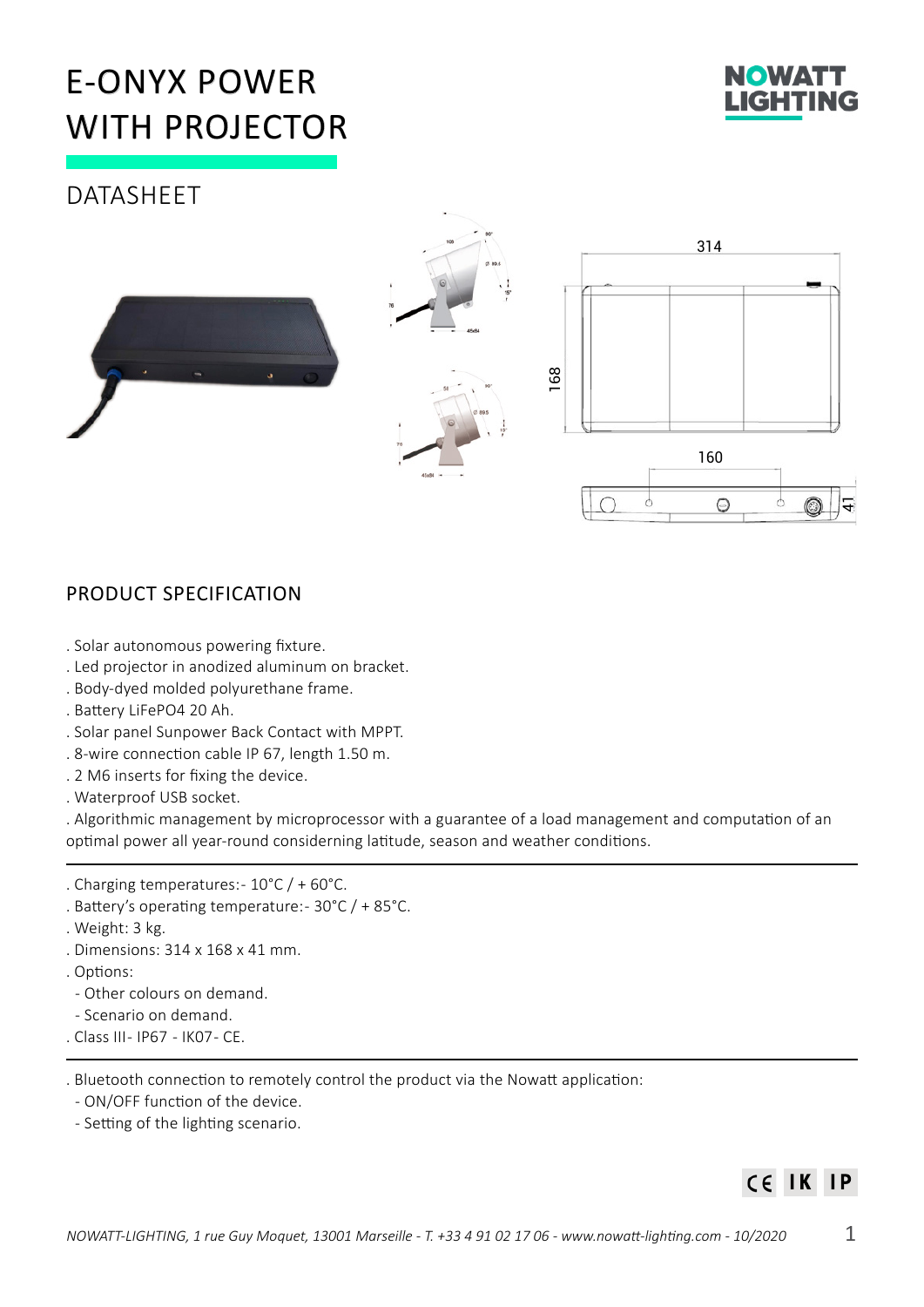# E-ONYX POWER WITH PROJECTOR



# **DATASHEET**



# PRODUCT SPECIFICATION

- . Solar autonomous powering fixture.
- . Led projector in anodized aluminum on bracket.
- . Body-dyed molded polyurethane frame.
- . Battery LiFePO4 20 Ah.
- . Solar panel Sunpower Back Contact with MPPT.
- . 8-wire connection cable IP 67, length 1.50 m.
- . 2 M6 inserts for fixing the device.
- . Waterproof USB socket.

. Algorithmic management by microprocessor with a guarantee of a load management and computation of an optimal power all year-round considerning latitude, season and weather conditions.

- . Charging temperatures: 10°C / + 60°C.
- . Battery's operating temperature: 30°C / + 85°C.
- . Weight: 3 kg.
- . Dimensions: 314 x 168 x 41 mm.
- . Options:
	- Other colours on demand.
	- Scenario on demand.
- . Class III IP67 IK07 CE.

. Bluetooth connection to remotely control the product via the Nowatt application:

- ON/OFF function of the device.
- Setting of the lighting scenario.

#### CE IK  $IP$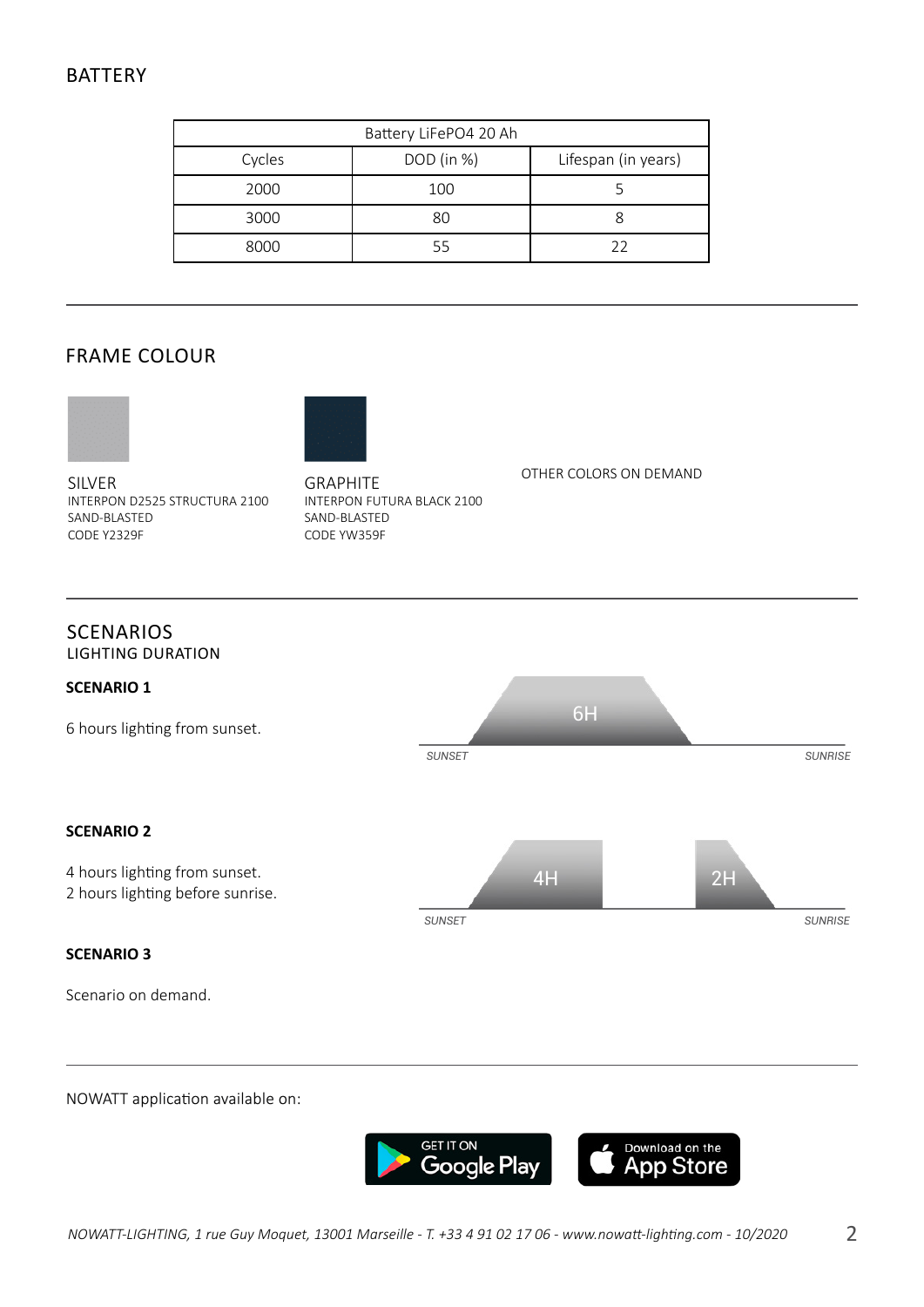# BATTERY

| Battery LiFePO4 20 Ah |              |                     |
|-----------------------|--------------|---------------------|
| Cycles                | $DOD$ (in %) | Lifespan (in years) |
| 2000                  | 100          |                     |
| 3000                  | 80           |                     |
| 8000                  |              | フフ                  |

# FRAME COLOUR





SILVER INTERPON D2525 STRUCTURA 2100 SAND-BLASTED CODE Y2329F

GRAPHITE INTERPON FUTURA BLACK 2100 SAND-BLASTED CODE YW359F

#### OTHER COLORS ON DEMAND

#### **SCENARIOS** LIGHTING DURATION



#### NOWATT application available on: